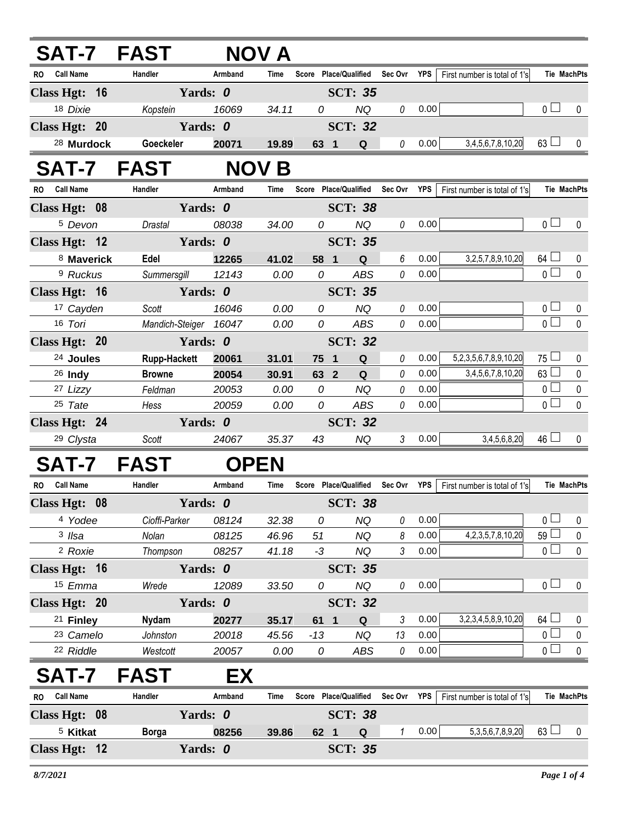| <b>SAT-7 FAST</b>             |                       | NOV A        |       |                       |                |             |                |            |                              |                 |                    |
|-------------------------------|-----------------------|--------------|-------|-----------------------|----------------|-------------|----------------|------------|------------------------------|-----------------|--------------------|
| RO Call Name                  | Handler               | Armband      | Time  | Score Place/Qualified |                |             | Sec Ovr YPS    |            | First number is total of 1's |                 | Tie MachPts        |
| Class Hgt: 16                 |                       | Yards: 0     |       |                       | <b>SCT: 35</b> |             |                |            |                              |                 |                    |
| 18 Dixie                      | Kopstein              | 16069        | 34.11 | 0                     |                | <b>NQ</b>   | 0              | 0.00       |                              | 0 <sub>l</sub>  | 0                  |
| Class Hgt: 20                 |                       | Yards: 0     |       |                       | <b>SCT: 32</b> |             |                |            |                              |                 |                    |
| <sup>28</sup> Murdock         | Goeckeler             | 20071        | 19.89 | 63 1                  |                | Q           | 0              | 0.00       | 3,4,5,6,7,8,10,20            | $63 \Box$       | 0                  |
| SAT-7 FAST                    |                       | <b>NOV B</b> |       |                       |                |             |                |            |                              |                 |                    |
| <b>Call Name</b><br>RO.       | Handler               | Armband      | Time  | Score Place/Qualified |                |             | Sec Ovr YPS    |            | First number is total of 1's |                 | <b>Tie MachPts</b> |
| Class Hgt: 08                 |                       | Yards: 0     |       |                       | <b>SCT: 38</b> |             |                |            |                              |                 |                    |
| <sup>5</sup> Devon            | Drastal               | 08038        | 34.00 | 0                     |                | <b>NQ</b>   | 0              | 0.00       |                              | 0 <sub>0</sub>  | 0                  |
| Class Hgt: 12                 |                       | Yards: 0     |       |                       | <b>SCT: 35</b> |             |                |            |                              |                 |                    |
| 8 Maverick                    | Edel                  | 12265        | 41.02 | 58 1                  |                | Q           | 6              | 0.00       | 3,2,5,7,8,9,10,20            | $64 \Box$       | 0                  |
| <sup>9</sup> Ruckus           | Summersgill           | 12143        | 0.00  | 0                     |                | <b>ABS</b>  | 0              | 0.00       |                              | $\overline{0}$  | $\mathbf 0$        |
| Class Hgt: 16                 |                       | Yards: 0     |       |                       | <b>SCT: 35</b> |             |                |            |                              |                 |                    |
| 17 Cayden                     | Scott                 | 16046        | 0.00  | 0                     |                | <b>NQ</b>   | 0              | 0.00       |                              | $\overline{0}$  | 0                  |
| 16 Tori                       | Mandich-Steiger 16047 |              | 0.00  | 0                     |                | ABS         | 0              | 0.00       |                              | $\overline{0}$  | $\mathbf 0$        |
| Class Hgt: 20                 |                       | Yards: 0     |       |                       | <b>SCT: 32</b> |             |                |            |                              |                 |                    |
| <sup>24</sup> Joules          | <b>Rupp-Hackett</b>   | 20061        | 31.01 | 75 1                  |                | ${\bf Q}$   | 0              | 0.00       | 5,2,3,5,6,7,8,9,10,20        | $75 \Box$       | 0                  |
| $26$ Indy                     | <b>Browne</b>         | 20054        | 30.91 | 63 2                  |                | Q           | 0              | 0.00       | 3,4,5,6,7,8,10,20            | 63              | $\pmb{0}$          |
| 27 Lizzy                      | Feldman               | 20053        | 0.00  | 0                     |                | <b>NQ</b>   | 0              | 0.00       |                              | 0 <sup>1</sup>  | $\pmb{0}$          |
| 25 Tate                       | Hess                  | 20059        | 0.00  | 0                     |                | ABS         | 0              | 0.00       |                              | 0 <sup>1</sup>  | 0                  |
| Class Hgt: 24                 |                       | Yards: 0     |       |                       | <b>SCT: 32</b> |             |                |            |                              |                 |                    |
| 29 Clysta                     | Scott                 | 24067        | 35.37 | 43                    |                | NQ          | $\mathfrak{Z}$ | 0.00       | 3,4,5,6,8,20                 | $46 \Box$       | $\mathbf{0}$       |
| <b>SAT-7</b>                  | <b>FAST</b>           | <b>OPEN</b>  |       |                       |                |             |                |            |                              |                 |                    |
| <b>Call Name</b><br><b>RO</b> | Handler               | Armband      | Time  | Score Place/Qualified |                |             | Sec Ovr        | YPS        | First number is total of 1's |                 | <b>Tie MachPts</b> |
| Class Hgt: 08                 |                       | Yards: 0     |       |                       | <b>SCT: 38</b> |             |                |            |                              |                 |                    |
| 4 Yodee                       | Cioffi-Parker         | 08124        | 32.38 | 0                     |                | <b>NQ</b>   | 0              | 0.00       |                              | 0 <sub>0</sub>  | 0                  |
| 3 Ilsa                        | Nolan                 | 08125        | 46.96 | 51                    |                | <b>NQ</b>   | 8              | 0.00       | 4, 2, 3, 5, 7, 8, 10, 20     | 59 <sup>1</sup> | $\pmb{0}$          |
| <sup>2</sup> Roxie            | Thompson              | 08257        | 41.18 | $-3$                  |                | NQ          | 3              | 0.00       |                              | 0 <sub>0</sub>  | $\pmb{0}$          |
| Class Hgt: 16                 |                       | Yards: 0     |       |                       | <b>SCT: 35</b> |             |                |            |                              |                 |                    |
| 15 Emma                       | Wrede                 | 12089        | 33.50 | 0                     |                | <b>NQ</b>   | 0              | 0.00       |                              | 0 <sub>0</sub>  | $\mathbf 0$        |
| Class Hgt: 20                 |                       | Yards: 0     |       |                       | <b>SCT: 32</b> |             |                |            |                              |                 |                    |
| <sup>21</sup> Finley          | <b>Nydam</b>          | 20277        | 35.17 | 61                    | $\mathbf{1}$   | Q           | 3              | 0.00       | 3,2,3,4,5,8,9,10,20          | $64$ $-$        | 0                  |
| <sup>23</sup> Camelo          | Johnston              | 20018        | 45.56 | $-13$                 |                | NQ          | 13             | 0.00       |                              | 0 <sup>1</sup>  | $\pmb{0}$          |
| 22 Riddle                     | Westcott              | 20057        | 0.00  | 0                     |                | ABS         | 0              | 0.00       |                              | $\overline{0}$  | $\pmb{0}$          |
| SAT-7                         | <b>FAST</b>           | EX           |       |                       |                |             |                |            |                              |                 |                    |
| <b>Call Name</b><br><b>RO</b> | Handler               | Armband      | Time  | Score Place/Qualified |                |             | Sec Ovr        | <b>YPS</b> | First number is total of 1's |                 | <b>Tie MachPts</b> |
| Class Hgt: 08                 |                       | Yards: 0     |       |                       | <b>SCT: 38</b> |             |                |            |                              |                 |                    |
| <sup>5</sup> Kitkat           | <b>Borga</b>          | 08256        | 39.86 | 62 1                  |                | $\mathbf Q$ | $\mathbf{1}$   | 0.00       | 5, 3, 5, 6, 7, 8, 9, 20      | $63 \Box$       | 0                  |
| Class Hgt: 12                 |                       | Yards: 0     |       |                       | <b>SCT: 35</b> |             |                |            |                              |                 |                    |
|                               |                       |              |       |                       |                |             |                |            |                              |                 |                    |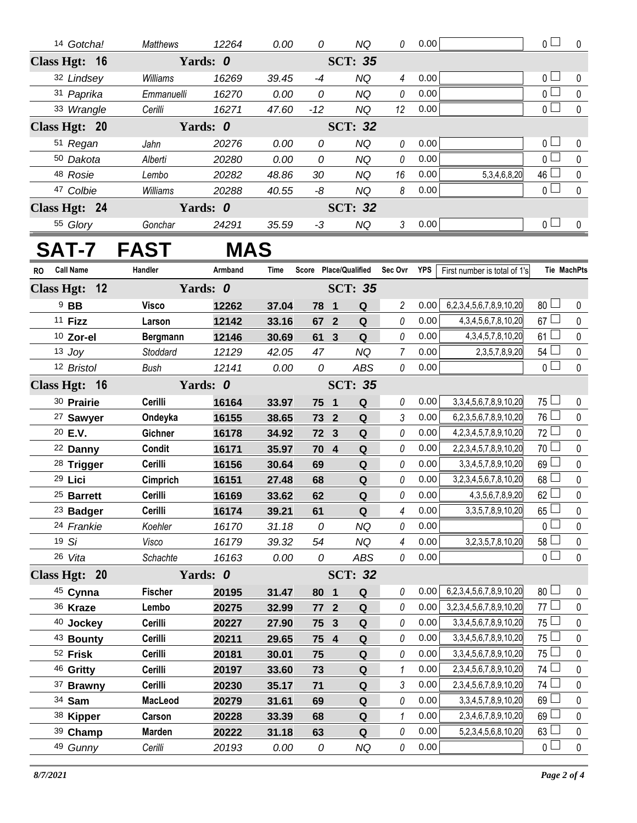|               | 14 Gotcha!            | Matthews          | 12264      | 0.00  | 0               |                         | <b>NQ</b>      | 0                                 | 0.00 |                                | $\overline{0}$  | $\mathbf 0$ |
|---------------|-----------------------|-------------------|------------|-------|-----------------|-------------------------|----------------|-----------------------------------|------|--------------------------------|-----------------|-------------|
| Class Hgt: 16 |                       |                   | Yards: 0   |       |                 |                         | <b>SCT: 35</b> |                                   |      |                                |                 |             |
|               | 32 Lindsey            | Williams          | 16269      | 39.45 | $-4$            |                         | <b>NQ</b>      | $\overline{4}$                    | 0.00 |                                | 0 <sup>1</sup>  | $\mathbf 0$ |
|               | 31 Paprika            | Emmanuelli        | 16270      | 0.00  | 0               |                         | <b>NQ</b>      | 0                                 | 0.00 |                                | $\overline{0}$  | $\pmb{0}$   |
|               | 33 Wrangle            | Cerilli           | 16271      | 47.60 | $-12$           |                         | <b>NQ</b>      | 12                                | 0.00 |                                | $\overline{0}$  | $\pmb{0}$   |
| Class Hgt: 20 |                       |                   | Yards: 0   |       |                 |                         | <b>SCT: 32</b> |                                   |      |                                |                 |             |
|               | 51 Regan              | Jahn              | 20276      | 0.00  | 0               |                         | <b>NQ</b>      | 0                                 | 0.00 |                                | 0 <sup>1</sup>  | 0           |
|               | 50 Dakota             | Alberti           | 20280      | 0.00  | $\overline{O}$  |                         | <b>NQ</b>      | 0                                 | 0.00 |                                | $\overline{0}$  | $\mathbf 0$ |
|               | 48 Rosie              | Lembo             | 20282      | 48.86 | 30              |                         | <b>NQ</b>      | 16                                | 0.00 | 5, 3, 4, 6, 8, 20              | $46\Box$        | $\pmb{0}$   |
|               | 47 Colbie             | Williams          | 20288      | 40.55 | -8              |                         | <b>NQ</b>      | 8                                 | 0.00 |                                | 0               | $\pmb{0}$   |
| Class Hgt: 24 |                       |                   | Yards: 0   |       |                 |                         | <b>SCT: 32</b> |                                   |      |                                |                 |             |
|               | 55 Glory              | Gonchar           | 24291      | 35.59 | $-3$            |                         | <b>NQ</b>      | $\mathfrak{Z}$                    | 0.00 |                                | 0 <sub>1</sub>  | $\mathbf 0$ |
|               |                       | <b>SAT-7 FAST</b> | <b>MAS</b> |       |                 |                         |                |                                   |      |                                |                 |             |
| RO Call Name  |                       | Handler           | Armband    | Time  |                 |                         |                | Score Place/Qualified Sec Ovr YPS |      | First number is total of 1's   |                 | Tie MachPts |
| Class Hgt: 12 |                       |                   | Yards: 0   |       |                 |                         | <b>SCT: 35</b> |                                   |      |                                |                 |             |
|               | $9$ BB                | <b>Visco</b>      | 12262      | 37.04 | 78              | $\blacksquare$          | Q              | $\overline{c}$                    | 0.00 | 6,2,3,4,5,6,7,8,9,10,20        | 80 <sup>1</sup> | $\mathbf 0$ |
|               | 11 Fizz               | Larson            | 12142      | 33.16 | 67              | $\overline{2}$          | $\mathbf Q$    | 0                                 | 0.00 | 4, 3, 4, 5, 6, 7, 8, 10, 20    | 67 <sup>1</sup> | $\pmb{0}$   |
|               | 10 Zor-el             | Bergmann          | 12146      | 30.69 | 61 <sub>3</sub> |                         | $\mathbf Q$    | 0                                 | 0.00 | 4, 3, 4, 5, 7, 8, 10, 20       | 61              | $\pmb{0}$   |
|               | $13$ Joy              | Stoddard          | 12129      | 42.05 | 47              |                         | <b>NQ</b>      | $\overline{7}$                    | 0.00 | 2, 3, 5, 7, 8, 9, 20           | 54              | $\pmb{0}$   |
|               | 12 Bristol            | <b>Bush</b>       | 12141      | 0.00  | 0               |                         | ABS            | 0                                 | 0.00 |                                | $\overline{0}$  | $\mathbf 0$ |
| Class Hgt: 16 |                       |                   | Yards: 0   |       |                 |                         | <b>SCT: 35</b> |                                   |      |                                |                 |             |
|               | 30 Prairie            | Cerilli           | 16164      | 33.97 | 75              | $\overline{\mathbf{1}}$ | $\mathbf Q$    | 0                                 | 0.00 | 3, 3, 4, 5, 6, 7, 8, 9, 10, 20 | 75 <sup>1</sup> | $\pmb{0}$   |
|               | <sup>27</sup> Sawyer  | Ondeyka           | 16155      | 38.65 | 73 2            |                         | Q              | 3                                 | 0.00 | 6,2,3,5,6,7,8,9,10,20          | 76 $\Box$       | $\pmb{0}$   |
|               | 20 E.V.               | Gichner           | 16178      | 34.92 | 72              | $\mathbf{3}$            | Q              | 0                                 | 0.00 | 4,2,3,4,5,7,8,9,10,20          | 72              | $\pmb{0}$   |
|               | 22 Danny              | Condit            | 16171      | 35.97 | 70 4            |                         | Q              | 0                                 | 0.00 | 2,2,3,4,5,7,8,9,10,20          | 70 <sup>1</sup> | $\pmb{0}$   |
|               | 28 Trigger            | Cerilli           | 16156      | 30.64 | 69              |                         | $\mathbf Q$    | 0                                 | 0.00 | 3, 3, 4, 5, 7, 8, 9, 10, 20    | 69 <sup>1</sup> | $\pmb{0}$   |
|               | 29 Lici               | Cimprich          | 16151      | 27.48 | 68              |                         | $\mathbf Q$    | 0                                 | 0.00 | 3,2,3,4,5,6,7,8,10,20          | 68 <sup>1</sup> | $\pmb{0}$   |
|               | <sup>25</sup> Barrett | Cerilli           | 16169      | 33.62 | 62              |                         | $\mathbf Q$    | 0                                 | 0.00 | 4, 3, 5, 6, 7, 8, 9, 20        | 62              | $\pmb{0}$   |
|               | 23 Badger             | Cerilli           | 16174      | 39.21 | 61              |                         | ${\bf Q}$      | 4                                 | 0.00 | 3, 3, 5, 7, 8, 9, 10, 20       | $65 \Box$       | 0           |
|               | 24 Frankie            | Koehler           | 16170      | 31.18 | 0               |                         | <b>NQ</b>      | 0                                 | 0.00 |                                | o l             | $\pmb{0}$   |
|               | 19 Si                 | Visco             | 16179      | 39.32 | 54              |                         | NQ             | 4                                 | 0.00 | 3,2,3,5,7,8,10,20              | 58 l            | $\pmb{0}$   |
|               | 26 Vita               | Schachte          | 16163      | 0.00  | 0               |                         | ABS            | 0                                 | 0.00 |                                | $\overline{0}$  | $\pmb{0}$   |
| Class Hgt: 20 |                       |                   | Yards: 0   |       |                 |                         | <b>SCT: 32</b> |                                   |      |                                |                 |             |
|               | 45 Cynna              | <b>Fischer</b>    | 20195      | 31.47 | 80              | $\overline{\mathbf{1}}$ | Q              | 0                                 | 0.00 | 6,2,3,4,5,6,7,8,9,10,20        | 80 <sup>1</sup> | 0           |
|               | 36 Kraze              | Lembo             | 20275      | 32.99 | 77              | $\overline{2}$          | $\mathbf Q$    | 0                                 | 0.00 | 3,2,3,4,5,6,7,8,9,10,20        | 77              | $\pmb{0}$   |
|               | 40 Jockey             | Cerilli           | 20227      | 27.90 | 75 3            |                         | $\mathbf Q$    | 0                                 | 0.00 | 3, 3, 4, 5, 6, 7, 8, 9, 10, 20 | $75 -$          | $\pmb{0}$   |
|               | 43 Bounty             | Cerilli           | 20211      | 29.65 | 75 4            |                         | ${\bf Q}$      | 0                                 | 0.00 | 3, 3, 4, 5, 6, 7, 8, 9, 10, 20 | $75 \Box$       | 0           |
|               | 52 Frisk              | Cerilli           | 20181      | 30.01 | 75              |                         | $\mathbf Q$    | 0                                 | 0.00 | 3, 3, 4, 5, 6, 7, 8, 9, 10, 20 | $75 \Box$       | $\pmb{0}$   |
|               | 46 Gritty             | Cerilli           | 20197      | 33.60 | 73              |                         | $\mathbf Q$    | 1                                 | 0.00 | 2,3,4,5,6,7,8,9,10,20          | 74              | $\pmb{0}$   |
|               | 37 Brawny             | Cerilli           | 20230      | 35.17 | 71              |                         | $\mathbf Q$    | 3                                 | 0.00 | 2,3,4,5,6,7,8,9,10,20          | 74 L            | $\pmb{0}$   |
|               | 34 Sam                | MacLeod           | 20279      | 31.61 | 69              |                         | $\mathbf Q$    | 0                                 | 0.00 | 3, 3, 4, 5, 7, 8, 9, 10, 20    | 69              | 0           |
|               | 38 Kipper             | Carson            | 20228      | 33.39 | 68              |                         | $\mathbf Q$    | 1                                 | 0.00 | 2,3,4,6,7,8,9,10,20            | $69$ $\Box$     | $\pmb{0}$   |
|               | 39 Champ              | Marden            | 20222      | 31.18 | 63              |                         | $\mathbf Q$    | 0                                 | 0.00 | 5,2,3,4,5,6,8,10,20            | 63              | 0           |
|               | 49 Gunny              | Cerilli           | 20193      | 0.00  | ${\cal O}$      |                         | <b>NQ</b>      | 0                                 | 0.00 |                                | $\overline{0}$  | $\pmb{0}$   |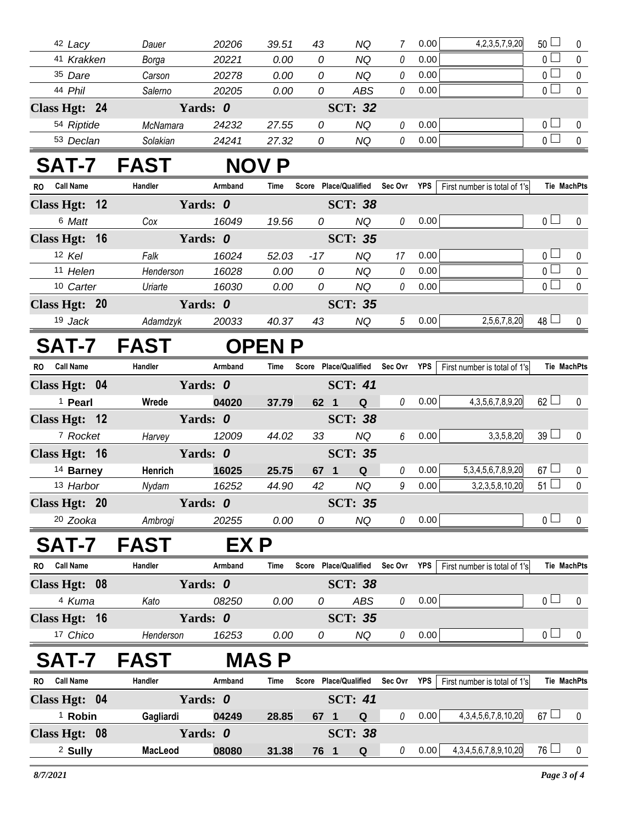| 42 Lacy                       | Dauer       | 20206    | 39.51        | 43                                | NQ                  | 7              | 0.00 | 4, 2, 3, 5, 7, 9, 20         | $50\Box$              | 0              |
|-------------------------------|-------------|----------|--------------|-----------------------------------|---------------------|----------------|------|------------------------------|-----------------------|----------------|
| 41 Krakken                    | Borga       | 20221    | 0.00         | $\Omega$                          | <b>NQ</b>           | 0              | 0.00 |                              | $\overline{0}$        | $\mathbf 0$    |
| 35 Dare                       | Carson      | 20278    | 0.00         | 0                                 | <b>NQ</b>           | 0              | 0.00 |                              | $\overline{0}$        | $\mathbf 0$    |
| 44 Phil                       | Salerno     | 20205    | 0.00         | 0                                 | <b>ABS</b>          | 0              | 0.00 |                              | $\overline{0}$        | $\mathbf 0$    |
| Class Hgt: 24                 |             | Yards: 0 |              |                                   | <b>SCT: 32</b>      |                |      |                              |                       |                |
| 54 Riptide                    | McNamara    | 24232    | 27.55        | 0                                 | <b>NQ</b>           | 0              | 0.00 |                              | $\overline{0}$        | 0              |
| 53 Declan                     | Solakian    | 24241    | 27.32        | 0                                 | <b>NQ</b>           | 0              | 0.00 |                              | $\overline{0}$        | $\pmb{0}$      |
| SAT-7 FAST                    |             |          | <b>NOV P</b> |                                   |                     |                |      |                              |                       |                |
| <b>Call Name</b><br><b>RO</b> | Handler     | Armband  | <b>Time</b>  | Score Place/Qualified Sec Ovr YPS |                     |                |      | First number is total of 1's |                       | Tie MachPts    |
| Class Hgt: 12                 |             | Yards: 0 |              |                                   | <b>SCT: 38</b>      |                |      |                              |                       |                |
| 6 Matt                        | Cox         | 16049    | 19.56        | 0                                 | <b>NQ</b>           | 0              | 0.00 |                              | $\overline{0}$        | $\mathbf 0$    |
| Class Hgt: 16                 |             | Yards: 0 |              |                                   | <b>SCT: 35</b>      |                |      |                              |                       |                |
| 12 Kel                        | Falk        | 16024    | 52.03        | $-17$                             | <b>NQ</b>           | 17             | 0.00 |                              | $\overline{0}$ $\Box$ | 0              |
| 11 Helen                      | Henderson   | 16028    | 0.00         | $\theta$                          | <b>NQ</b>           | 0              | 0.00 |                              | $\overline{0}$        | $\pmb{0}$      |
| 10 Carter                     | Uriarte     | 16030    | 0.00         | 0                                 | <b>NQ</b>           | 0              | 0.00 |                              | $\overline{0}$        | $\mathbf 0$    |
| Class Hgt: 20                 |             | Yards: 0 |              |                                   | <b>SCT: 35</b>      |                |      |                              |                       |                |
| 19 Jack                       | Adamdzyk    | 20033    | 40.37        | 43                                | <b>NQ</b>           | 5 <sup>5</sup> | 0.00 | 2,5,6,7,8,20                 | 48                    | $\mathbf 0$    |
| <b>SAT-7</b>                  | <b>FAST</b> |          | <b>OPENP</b> |                                   |                     |                |      |                              |                       |                |
| <b>Call Name</b><br><b>RO</b> | Handler     | Armband  | Time         | Score Place/Qualified Sec Ovr YPS |                     |                |      | First number is total of 1's |                       | Tie MachPts    |
| Class Hgt: 04                 |             | Yards: 0 |              |                                   | <b>SCT: 41</b>      |                |      |                              |                       |                |
| <sup>1</sup> Pearl            | Wrede       | 04020    | 37.79        | 62 1                              | Q                   | 0              | 0.00 | 4, 3, 5, 6, 7, 8, 9, 20      | $62$ $\Box$           | $\mathbf 0$    |
| Class Hgt: 12                 |             | Yards: 0 |              |                                   | <b>SCT: 38</b>      |                |      |                              |                       |                |
| <sup>7</sup> Rocket           | Harvey      | 12009    | 44.02        | 33                                | <b>NQ</b>           | 6              | 0.00 | 3, 3, 5, 8, 20               | 39 <sup>1</sup>       | $\mathbf 0$    |
| Class Hgt: 16                 |             | Yards: 0 |              |                                   | <b>SCT: 35</b>      |                |      |                              |                       |                |
| <sup>14</sup> Barney          | Henrich     | 16025    | 25.75        | 67 1                              | Q                   | 0              | 0.00 | 5, 3, 4, 5, 6, 7, 8, 9, 20   | $67 \Box$             | $\pmb{0}$      |
| 13 Harbor                     | Nydam       | 16252    | 44.90        | 42                                | $N\hspace{-1.5pt}Q$ | 9              | 0.00 | 3,2,3,5,8,10,20              | $51 \square$          | $\overline{0}$ |
| Class Hgt: 20                 |             | Yards: 0 |              |                                   | <b>SCT: 35</b>      |                |      |                              |                       |                |
| <sup>20</sup> Zooka           | Ambrogi     | 20255    | 0.00         | 0                                 | NQ                  | 0              | 0.00 |                              | 0 <sub>0</sub>        | 0              |
| SAT-7                         | <b>FAST</b> | EX P     |              |                                   |                     |                |      |                              |                       |                |
| RO Call Name                  | Handler     | Armband  | Time         | Score Place/Qualified             |                     | Sec Ovr YPS    |      | First number is total of 1's |                       | Tie MachPts    |
| Class Hgt: 08                 |             | Yards: 0 |              |                                   | <b>SCT: 38</b>      |                |      |                              |                       |                |
| 4 Kuma                        | Kato        | 08250    | 0.00         | 0                                 | ABS                 | 0              | 0.00 |                              | 0 <sub>0</sub>        | $\mathbf 0$    |
| Class Hgt: 16                 |             | Yards: 0 |              |                                   | <b>SCT: 35</b>      |                |      |                              |                       |                |
| 17 Chico                      | Henderson   | 16253    | 0.00         | 0                                 | NQ                  | 0              | 0.00 |                              | $\overline{0}$        | 0              |
|                               |             |          |              |                                   |                     |                |      |                              |                       |                |
| SAT-7                         | <b>FAST</b> |          | <b>MASP</b>  |                                   |                     |                |      |                              |                       |                |
| <b>Call Name</b><br>RO.       | Handler     | Armband  | Time         | Score Place/Qualified Sec Ovr YPS |                     |                |      | First number is total of 1's |                       | Tie MachPts    |

| NU<br><b>VAILIMING</b> | ,,,,,,,,,,      | лшични          | .              | $00000 - 100000$ |                | ------ | .    | ור ו ט ושוטו כו וסעווושוו וכוו ו |              | 117 11147111 W |
|------------------------|-----------------|-----------------|----------------|------------------|----------------|--------|------|----------------------------------|--------------|----------------|
| Class Hgt: 04          |                 | Yards: <i>0</i> | <b>SCT: 41</b> |                  |                |        |      |                                  |              |                |
| Robin                  | Gagliardi       | 04249           | 28.85          | 67               | Q              |        | 0.00 | 4, 3, 4, 5, 6, 7, 8, 10, 20      | $67 \square$ |                |
| Class Hgt: 08          | Yards: <i>0</i> |                 |                |                  | <b>SCT: 38</b> |        |      |                                  |              |                |
| <sup>2</sup> Sully     | <b>MacLeod</b>  | 08080           | 31.38          | 76               | Q              |        | 0.00 | 4, 3, 4, 5, 6, 7, 8, 9, 10, 20   | 76 —         |                |